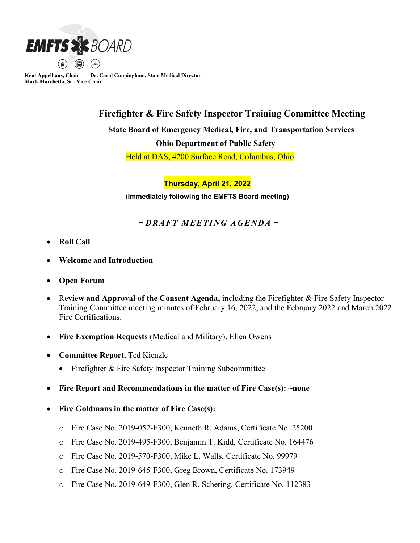

**Kent Appelhans, Chair Dr. Carol Cunningham, State Medical Director Mark Marchetta, Sr., Vice Chair**

## **Firefighter & Fire Safety Inspector Training Committee Meeting**

 **State Board of Emergency Medical, Fire, and Transportation Services**

 **Ohio Department of Public Safety**

Held at DAS, 4200 Surface Road, Columbus, Ohio

**Thursday, April 21, 2022**

**(Immediately following the EMFTS Board meeting)**

## **~** *DRAFT MEETING AGENDA* **~**

- **Roll Call**
- **Welcome and Introduction**
- **Open Forum**
- R**eview and Approval of the Consent Agenda,** including the Firefighter & Fire Safety Inspector Training Committee meeting minutes of February 16, 2022, and the February 2022 and March 2022 Fire Certifications.
- **Fire Exemption Requests** (Medical and Military), Ellen Owens
- **Committee Report**, Ted Kienzle
	- Firefighter & Fire Safety Inspector Training Subcommittee
- **Fire Report and Recommendations in the matter of Fire Case(s): ~none**
- **Fire Goldmans in the matter of Fire Case(s):**
	- o Fire Case No. 2019-052-F300, Kenneth R. Adams, Certificate No. 25200
	- o Fire Case No. 2019-495-F300, Benjamin T. Kidd, Certificate No. 164476
	- o Fire Case No. 2019-570-F300, Mike L. Walls, Certificate No. 99979
	- o Fire Case No. 2019-645-F300, Greg Brown, Certificate No. 173949
	- o Fire Case No. 2019-649-F300, Glen R. Schering, Certificate No. 112383